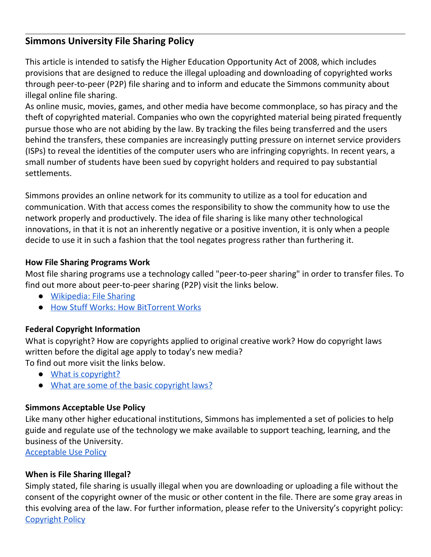# **Simmons University File Sharing Policy**

 This article is intended to satisfy the Higher Education Opportunity Act of 2008, which includes provisions that are designed to reduce the illegal uploading and downloading of copyrighted works through peer-to-peer (P2P) file sharing and to inform and educate the Simmons community about illegal online file sharing.

 As online music, movies, games, and other media have become commonplace, so has piracy and the theft of copyrighted material. Companies who own the copyrighted material being pirated frequently pursue those who are not abiding by the law. By tracking the files being transferred and the users behind the transfers, these companies are increasingly putting pressure on internet service providers (ISPs) to reveal the identities of the computer users who are infringing copyrights. In recent years, a small number of students have been sued by copyright holders and required to pay substantial settlements.

 Simmons provides an online network for its community to utilize as a tool for education and communication. With that access comes the responsibility to show the community how to use the network properly and productively. The idea of file sharing is like many other technological innovations, in that it is not an inherently negative or a positive invention, it is only when a people decide to use it in such a fashion that the tool negates progress rather than furthering it.

#### **How File Sharing Programs Work**

 Most file sharing programs use a technology called "peer-to-peer sharing" in order to transfer files. To find out more about peer-to-peer sharing (P2P) visit the links below.

- [Wikipedia:](https://en.wikipedia.org/wiki/File_sharing) File Sharing
- How Stuff Works: How [BitTorrent](http://computer.howstuffworks.com/bittorrent.htm) Works

## **Federal Copyright Information**

 What is copyright? How are copyrights applied to original creative work? How do copyright laws written before the digital age apply to today's new media? To find out more visit the links below.

- What is [copyright?](https://www.copyright.gov/help/faq/faq-general.html)
- What are some of the basic [copyright](https://www.copyright.gov/title17/) laws?

## **Simmons Acceptable Use Policy**

 Like many other higher educational institutions, Simmons has implemented a set of policies to help guide and regulate use of the technology we make available to support teaching, learning, and the business of the University.

[Acceptable](https://internal.simmons.edu/faculty-staff/technology/policies/acceptable-use) Use Policy

## **When is File Sharing Illegal?**

 Simply stated, file sharing is usually illegal when you are downloading or uploading a file without the consent of the copyright owner of the music or other content in the file. There are some gray areas in this evolving area of the law. For further information, please refer to the University's copyright policy: [Copyright](https://internal.simmons.edu/wp-content/uploads/2019/07/Simmons-Copyright-Policy.pdf) Policy